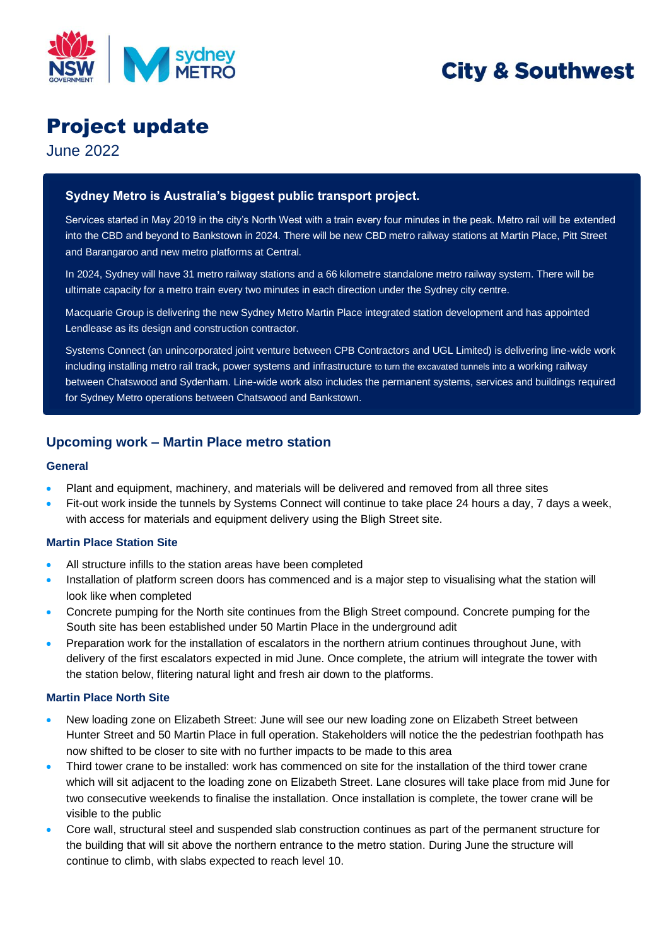

# **City & Southwest**

## Project update

June 2022

### **Sydney Metro is Australia's biggest public transport project.**

Services started in May 2019 in the city's North West with a train every four minutes in the peak. Metro rail will be extended into the CBD and beyond to Bankstown in 2024. There will be new CBD metro railway stations at Martin Place, Pitt Street and Barangaroo and new metro platforms at Central.

In 2024, Sydney will have 31 metro railway stations and a 66 kilometre standalone metro railway system. There will be ultimate capacity for a metro train every two minutes in each direction under the Sydney city centre.

Macquarie Group is delivering the new Sydney Metro Martin Place integrated station development and has appointed Lendlease as its design and construction contractor.

Systems Connect (an unincorporated joint venture between CPB Contractors and UGL Limited) is delivering line-wide work including installing metro rail track, power systems and infrastructure to turn the excavated tunnels into a working railway between Chatswood and Sydenham. Line-wide work also includes the permanent systems, services and buildings required for Sydney Metro operations between Chatswood and Bankstown.

## **Upcoming work – Martin Place metro station**

#### **General**

- Plant and equipment, machinery, and materials will be delivered and removed from all three sites
- Fit-out work inside the tunnels by Systems Connect will continue to take place 24 hours a day, 7 days a week, with access for materials and equipment delivery using the Bligh Street site.

#### **Martin Place Station Site**

- All structure infills to the station areas have been completed
- Installation of platform screen doors has commenced and is a major step to visualising what the station will look like when completed
- Concrete pumping for the North site continues from the Bligh Street compound. Concrete pumping for the South site has been established under 50 Martin Place in the underground adit
- Preparation work for the installation of escalators in the northern atrium continues throughout June, with delivery of the first escalators expected in mid June. Once complete, the atrium will integrate the tower with the station below, flitering natural light and fresh air down to the platforms.

#### **Martin Place North Site**

- New loading zone on Elizabeth Street: June will see our new loading zone on Elizabeth Street between Hunter Street and 50 Martin Place in full operation. Stakeholders will notice the the pedestrian foothpath has now shifted to be closer to site with no further impacts to be made to this area
- Third tower crane to be installed: work has commenced on site for the installation of the third tower crane which will sit adjacent to the loading zone on Elizabeth Street. Lane closures will take place from mid June for two consecutive weekends to finalise the installation. Once installation is complete, the tower crane will be visible to the public
- Core wall, structural steel and suspended slab construction continues as part of the permanent structure for the building that will sit above the northern entrance to the metro station. During June the structure will continue to climb, with slabs expected to reach level 10.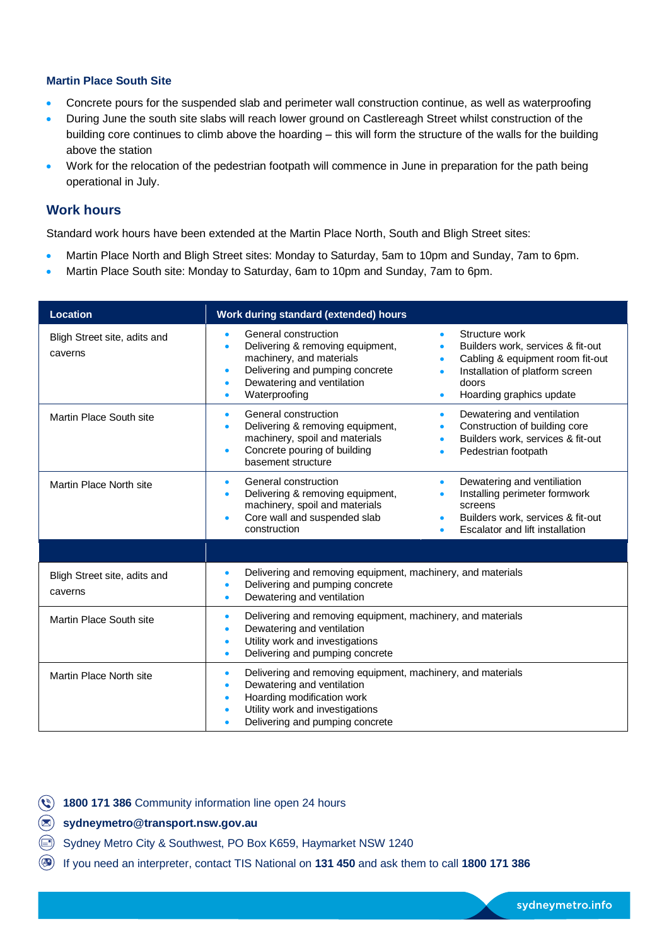#### **Martin Place South Site**

- Concrete pours for the suspended slab and perimeter wall construction continue, as well as waterproofing
- During June the south site slabs will reach lower ground on Castlereagh Street whilst construction of the building core continues to climb above the hoarding – this will form the structure of the walls for the building above the station
- Work for the relocation of the pedestrian footpath will commence in June in preparation for the path being operational in July.

#### **Work hours**

Standard work hours have been extended at the Martin Place North, South and Bligh Street sites:

- Martin Place North and Bligh Street sites: Monday to Saturday, 5am to 10pm and Sunday, 7am to 6pm.
- Martin Place South site: Monday to Saturday, 6am to 10pm and Sunday, 7am to 6pm.

| <b>Location</b>                         | Work during standard (extended) hours                                                                                                                                                                                                                                                                                                                                                                      |  |  |
|-----------------------------------------|------------------------------------------------------------------------------------------------------------------------------------------------------------------------------------------------------------------------------------------------------------------------------------------------------------------------------------------------------------------------------------------------------------|--|--|
| Bligh Street site, adits and<br>caverns | General construction<br>Structure work<br>Delivering & removing equipment,<br>Builders work, services & fit-out<br>$\bullet$<br>machinery, and materials<br>Cabling & equipment room fit-out<br>$\bullet$<br>Delivering and pumping concrete<br>Installation of platform screen<br>$\bullet$<br>$\bullet$<br>Dewatering and ventilation<br>doors<br>Waterproofing<br>Hoarding graphics update<br>$\bullet$ |  |  |
| Martin Place South site                 | General construction<br>Dewatering and ventilation<br>$\bullet$<br>$\bullet$<br>Delivering & removing equipment,<br>Construction of building core<br>$\bullet$<br>machinery, spoil and materials<br>Builders work, services & fit-out<br>$\bullet$<br>Concrete pouring of building<br>Pedestrian footpath<br>basement structure                                                                            |  |  |
| Martin Place North site                 | General construction<br>Dewatering and ventiliation<br>Installing perimeter formwork<br>Delivering & removing equipment,<br>machinery, spoil and materials<br>screens<br>Core wall and suspended slab<br>Builders work, services & fit-out<br>construction<br>Escalator and lift installation                                                                                                              |  |  |
|                                         |                                                                                                                                                                                                                                                                                                                                                                                                            |  |  |
| Bligh Street site, adits and<br>caverns | Delivering and removing equipment, machinery, and materials<br>Delivering and pumping concrete<br>Dewatering and ventilation<br>٠                                                                                                                                                                                                                                                                          |  |  |
| Martin Place South site                 | Delivering and removing equipment, machinery, and materials<br>$\bullet$<br>Dewatering and ventilation<br>Utility work and investigations<br>Delivering and pumping concrete                                                                                                                                                                                                                               |  |  |
| Martin Place North site                 | Delivering and removing equipment, machinery, and materials<br>$\bullet$<br>Dewatering and ventilation<br>Hoarding modification work<br>Utility work and investigations<br>Delivering and pumping concrete                                                                                                                                                                                                 |  |  |

- **1800 171 386** Community information line open 24 hours
- **[sydneymetro@transport.nsw.gov.au](mailto:sydneymetro@transport.nsw.gov.au)**
- Sydney Metro City & Southwest, PO Box K659, Haymarket NSW 1240
- If you need an interpreter, contact TIS National on **131 450** and ask them to call **1800 171 386**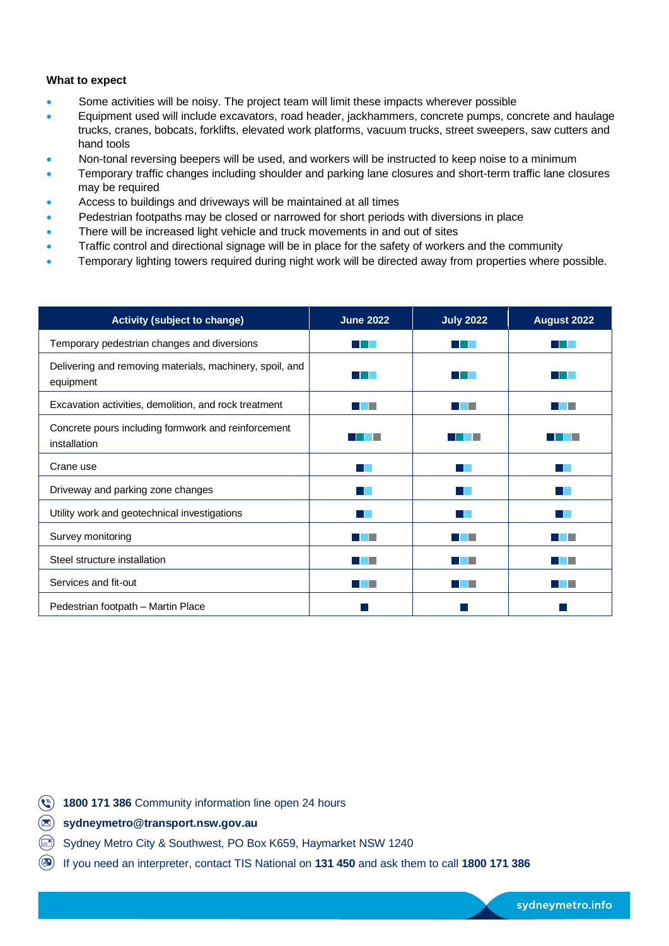#### **What to expect**

- Some activities will be noisy. The project team will limit these impacts wherever possible
- Equipment used will include excavators, road header, jackhammers, concrete pumps, concrete and haulage trucks, cranes, bobcats, forklifts, elevated work platforms, vacuum trucks, street sweepers, saw cutters and hand tools
- Non-tonal reversing beepers will be used, and workers will be instructed to keep noise to a minimum
- Temporary traffic changes including shoulder and parking lane closures and short-term traffic lane closures may be required
- Access to buildings and driveways will be maintained at all times
- Pedestrian footpaths may be closed or narrowed for short periods with diversions in place
- There will be increased light vehicle and truck movements in and out of sites
- Traffic control and directional signage will be in place for the safety of workers and the community
- Temporary lighting towers required during night work will be directed away from properties where possible.

| <b>Activity (subject to change)</b>                                   | <b>June 2022</b> | <b>July 2022</b> | August 2022 |
|-----------------------------------------------------------------------|------------------|------------------|-------------|
| Temporary pedestrian changes and diversions                           |                  |                  |             |
| Delivering and removing materials, machinery, spoil, and<br>equipment |                  |                  |             |
| Excavation activities, demolition, and rock treatment                 |                  |                  |             |
| Concrete pours including formwork and reinforcement<br>installation   |                  |                  |             |
| Crane use                                                             |                  |                  |             |
| Driveway and parking zone changes                                     |                  |                  |             |
| Utility work and geotechnical investigations                          |                  |                  |             |
| Survey monitoring                                                     |                  |                  |             |
| Steel structure installation                                          |                  |                  |             |
| Services and fit-out                                                  |                  |                  |             |
| Pedestrian footpath - Martin Place                                    |                  |                  |             |

- **1800 171 386** Community information line open 24 hours
- **[sydneymetro@transport.nsw.gov.au](mailto:sydneymetro@transport.nsw.gov.au)**
- Sydney Metro City & Southwest, PO Box K659, Haymarket NSW 1240
- If you need an interpreter, contact TIS National on **131 450** and ask them to call **1800 171 386**